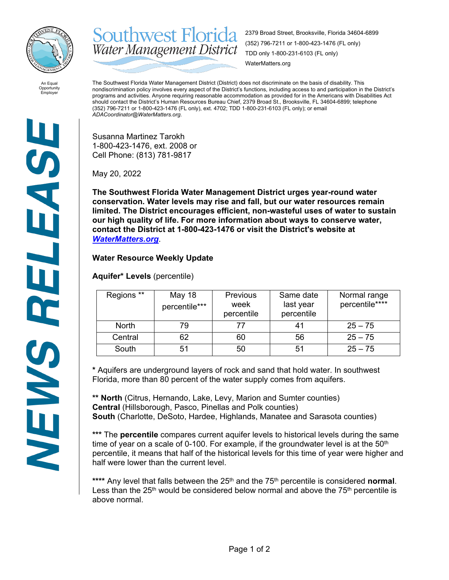

**Southwest Florida** 2379 Broad Street, Brooksville, Florida 34604-6899 (352) 796-7211 or 1-800-423-1476 (FL only) Water Management District TDD only 1-800-231-6103 (FL only) WaterMatters.org

An Equal Opportunity Employer

The Southwest Florida Water Management District (District) does not discriminate on the basis of disability. This nondiscrimination policy involves every aspect of the District's functions, including access to and participation in the District's programs and activities. Anyone requiring reasonable accommodation as provided for in the Americans with Disabilities Act should contact the District's Human Resources Bureau Chief, 2379 Broad St., Brooksville, FL 34604-6899; telephone (352) 796-7211 or 1-800-423-1476 (FL only), ext. 4702; TDD 1-800-231-6103 (FL only); or email *ADACoordinator@WaterMatters.org.*

Susanna Martinez Tarokh 1-800-423-1476, ext. 2008 or Cell Phone: (813) 781-9817

May 20, 2022

**The Southwest Florida Water Management District urges year-round water conservation. Water levels may rise and fall, but our water resources remain limited. The District encourages efficient, non-wasteful uses of water to sustain our high quality of life. For more information about ways to conserve water, contact the District at 1-800-423-1476 or visit the District's website at**  *[WaterMatters.org](http://watermatters.org/)*.

## **Water Resource Weekly Update**

**Aquifer\* Levels** (percentile)

| Regions **   | May 18<br>percentile*** | <b>Previous</b><br>week<br>percentile | Same date<br>last year<br>percentile | Normal range<br>percentile**** |
|--------------|-------------------------|---------------------------------------|--------------------------------------|--------------------------------|
| <b>North</b> | 79                      |                                       | 41                                   | $25 - 75$                      |
| Central      | 62                      | 60                                    | 56                                   | $25 - 75$                      |
| South        | 51                      | 50                                    | 51                                   | $25 - 75$                      |

**\*** Aquifers are underground layers of rock and sand that hold water. In southwest Florida, more than 80 percent of the water supply comes from aquifers.

**\*\* North** (Citrus, Hernando, Lake, Levy, Marion and Sumter counties) **Central** (Hillsborough, Pasco, Pinellas and Polk counties) **South** (Charlotte, DeSoto, Hardee, Highlands, Manatee and Sarasota counties)

**\*\*\*** The **percentile** compares current aquifer levels to historical levels during the same time of year on a scale of 0-100. For example, if the groundwater level is at the  $50<sup>th</sup>$ percentile, it means that half of the historical levels for this time of year were higher and half were lower than the current level.

\*\*\*\* Any level that falls between the 25<sup>th</sup> and the 75<sup>th</sup> percentile is considered **normal**. Less than the  $25<sup>th</sup>$  would be considered below normal and above the  $75<sup>th</sup>$  percentile is above normal.